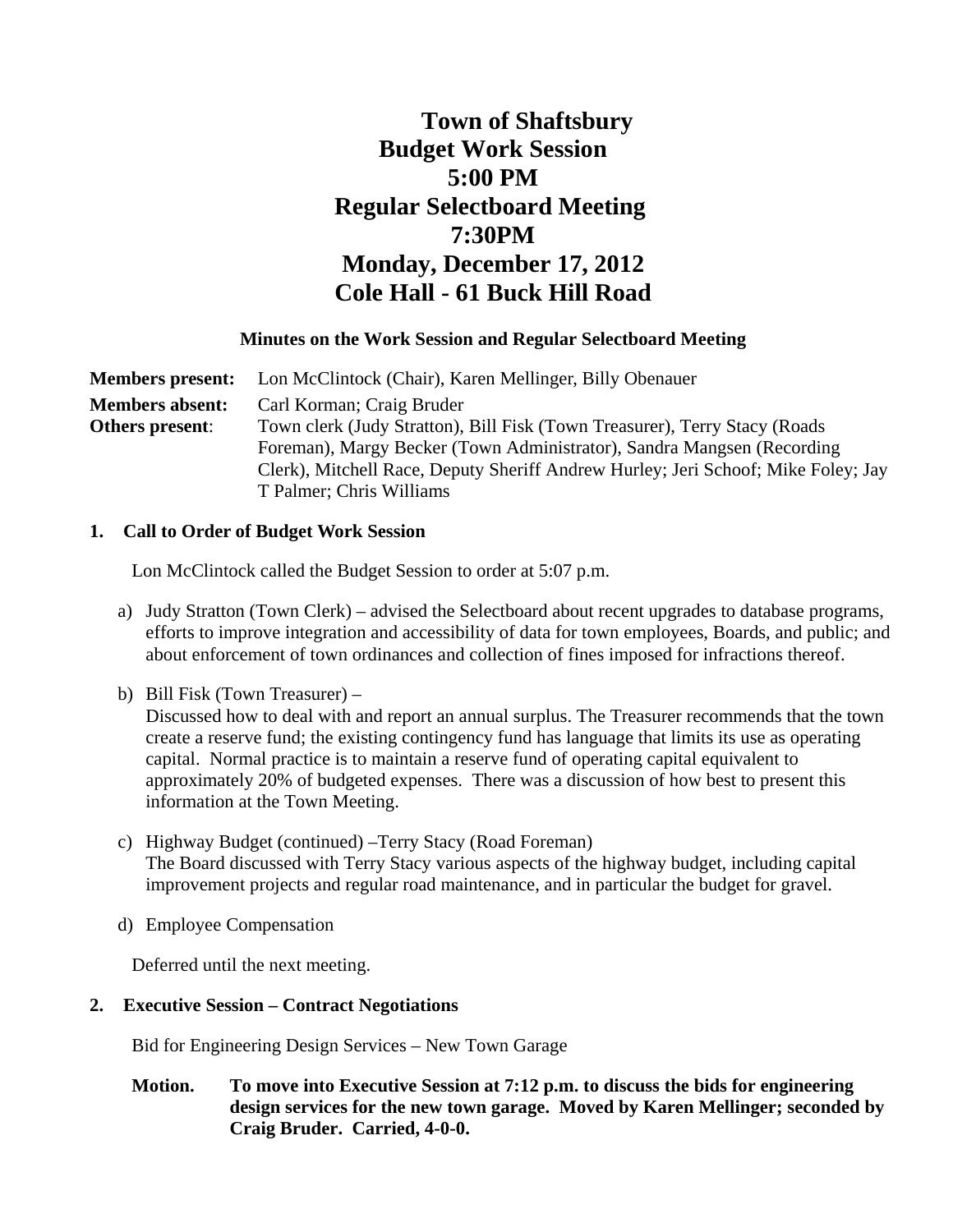# **Town of Shaftsbury Budget Work Session 5:00 PM Regular Selectboard Meeting 7:30PM Monday, December 17, 2012 Cole Hall - 61 Buck Hill Road**

## **Minutes on the Work Session and Regular Selectboard Meeting**

**Members present:** Lon McClintock (Chair), Karen Mellinger, Billy Obenauer **Members absent:** Carl Korman; Craig Bruder **Others present**: Town clerk (Judy Stratton), Bill Fisk (Town Treasurer), Terry Stacy (Roads Foreman), Margy Becker (Town Administrator), Sandra Mangsen (Recording Clerk), Mitchell Race, Deputy Sheriff Andrew Hurley; Jeri Schoof; Mike Foley; Jay T Palmer; Chris Williams

## **1. Call to Order of Budget Work Session**

Lon McClintock called the Budget Session to order at 5:07 p.m.

- a) Judy Stratton (Town Clerk) advised the Selectboard about recent upgrades to database programs, efforts to improve integration and accessibility of data for town employees, Boards, and public; and about enforcement of town ordinances and collection of fines imposed for infractions thereof.
- b) Bill Fisk (Town Treasurer) –

Discussed how to deal with and report an annual surplus. The Treasurer recommends that the town create a reserve fund; the existing contingency fund has language that limits its use as operating capital. Normal practice is to maintain a reserve fund of operating capital equivalent to approximately 20% of budgeted expenses. There was a discussion of how best to present this information at the Town Meeting.

- c) Highway Budget (continued) –Terry Stacy (Road Foreman) The Board discussed with Terry Stacy various aspects of the highway budget, including capital improvement projects and regular road maintenance, and in particular the budget for gravel.
- d) Employee Compensation

Deferred until the next meeting.

# **2. Executive Session – Contract Negotiations**

Bid for Engineering Design Services – New Town Garage

## **Motion. To move into Executive Session at 7:12 p.m. to discuss the bids for engineering design services for the new town garage. Moved by Karen Mellinger; seconded by Craig Bruder. Carried, 4-0-0.**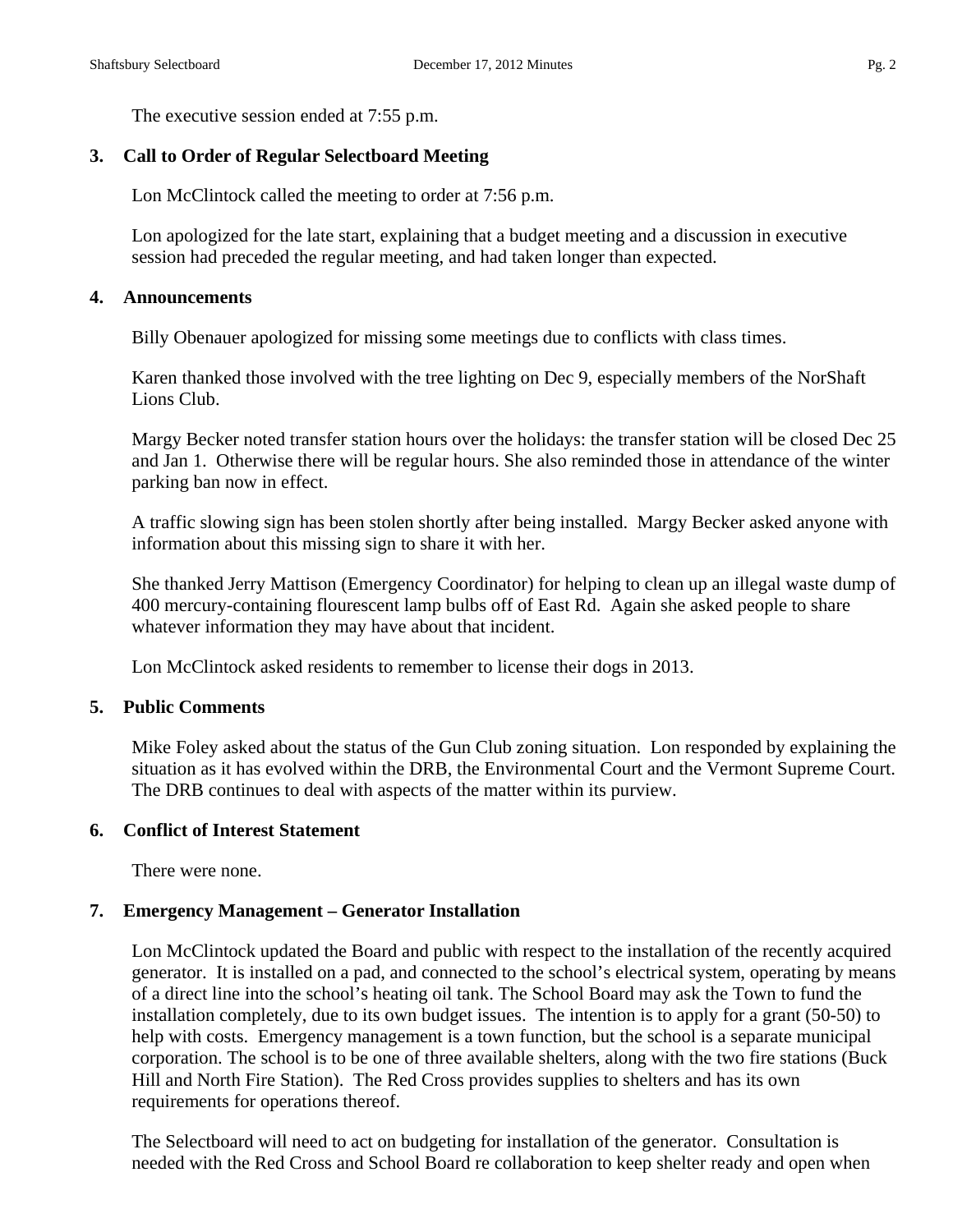The executive session ended at 7:55 p.m.

## **3. Call to Order of Regular Selectboard Meeting**

Lon McClintock called the meeting to order at 7:56 p.m.

Lon apologized for the late start, explaining that a budget meeting and a discussion in executive session had preceded the regular meeting, and had taken longer than expected.

## **4. Announcements**

Billy Obenauer apologized for missing some meetings due to conflicts with class times.

Karen thanked those involved with the tree lighting on Dec 9, especially members of the NorShaft Lions Club.

Margy Becker noted transfer station hours over the holidays: the transfer station will be closed Dec 25 and Jan 1. Otherwise there will be regular hours. She also reminded those in attendance of the winter parking ban now in effect.

A traffic slowing sign has been stolen shortly after being installed. Margy Becker asked anyone with information about this missing sign to share it with her.

She thanked Jerry Mattison (Emergency Coordinator) for helping to clean up an illegal waste dump of 400 mercury-containing flourescent lamp bulbs off of East Rd. Again she asked people to share whatever information they may have about that incident.

Lon McClintock asked residents to remember to license their dogs in 2013.

## **5. Public Comments**

Mike Foley asked about the status of the Gun Club zoning situation. Lon responded by explaining the situation as it has evolved within the DRB, the Environmental Court and the Vermont Supreme Court. The DRB continues to deal with aspects of the matter within its purview.

## **6. Conflict of Interest Statement**

There were none.

## **7. Emergency Management – Generator Installation**

Lon McClintock updated the Board and public with respect to the installation of the recently acquired generator. It is installed on a pad, and connected to the school's electrical system, operating by means of a direct line into the school's heating oil tank. The School Board may ask the Town to fund the installation completely, due to its own budget issues. The intention is to apply for a grant (50-50) to help with costs. Emergency management is a town function, but the school is a separate municipal corporation. The school is to be one of three available shelters, along with the two fire stations (Buck Hill and North Fire Station). The Red Cross provides supplies to shelters and has its own requirements for operations thereof.

The Selectboard will need to act on budgeting for installation of the generator. Consultation is needed with the Red Cross and School Board re collaboration to keep shelter ready and open when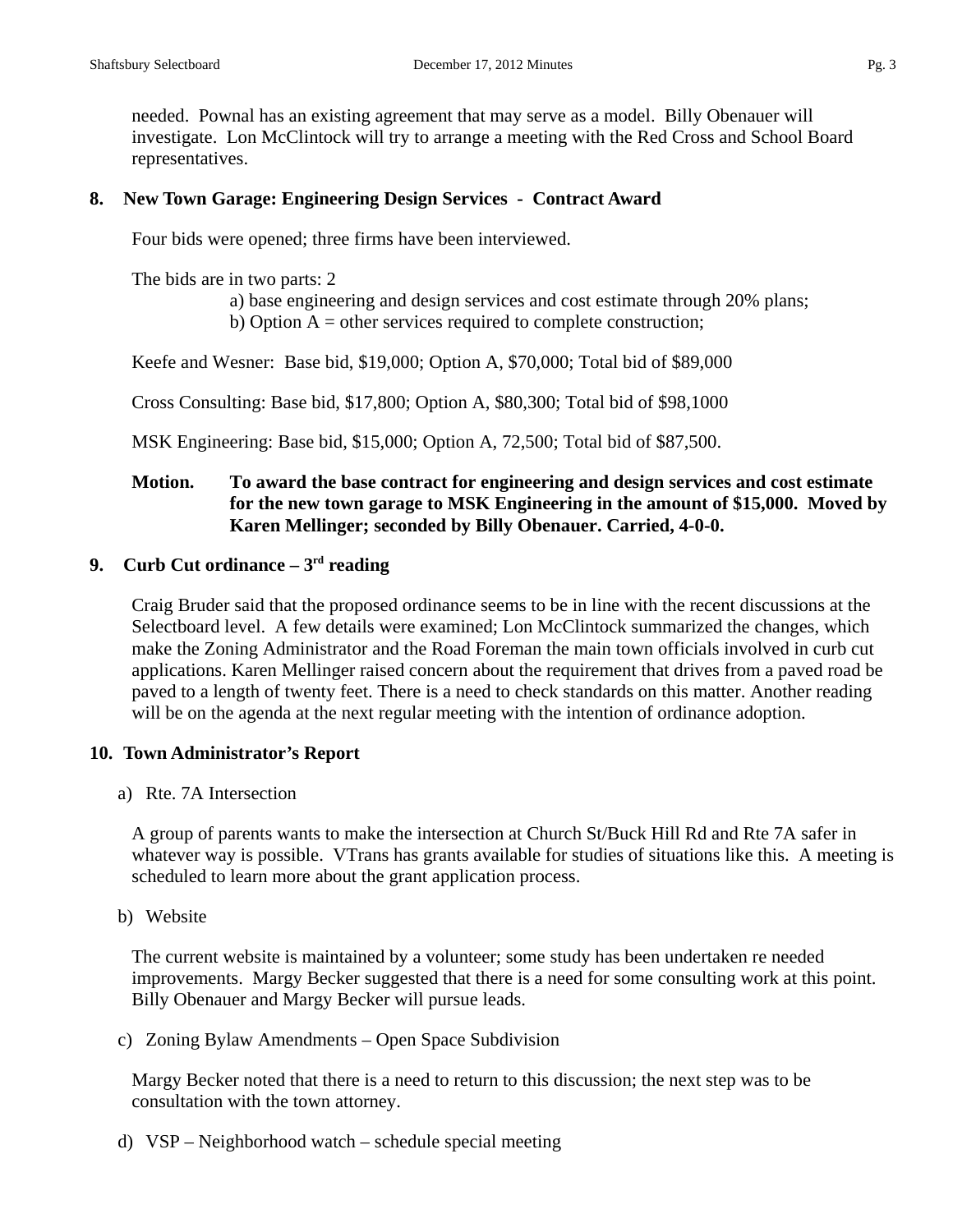needed. Pownal has an existing agreement that may serve as a model. Billy Obenauer will investigate. Lon McClintock will try to arrange a meeting with the Red Cross and School Board representatives.

## **8. New Town Garage: Engineering Design Services - Contract Award**

Four bids were opened; three firms have been interviewed.

The bids are in two parts: 2

a) base engineering and design services and cost estimate through 20% plans; b) Option  $A =$  other services required to complete construction;

Keefe and Wesner: Base bid, \$19,000; Option A, \$70,000; Total bid of \$89,000

Cross Consulting: Base bid, \$17,800; Option A, \$80,300; Total bid of \$98,1000

MSK Engineering: Base bid, \$15,000; Option A, 72,500; Total bid of \$87,500.

## **Motion. To award the base contract for engineering and design services and cost estimate for the new town garage to MSK Engineering in the amount of \$15,000. Moved by Karen Mellinger; seconded by Billy Obenauer. Carried, 4-0-0.**

## **9. Curb Cut ordinance – 3rd reading**

Craig Bruder said that the proposed ordinance seems to be in line with the recent discussions at the Selectboard level. A few details were examined; Lon McClintock summarized the changes, which make the Zoning Administrator and the Road Foreman the main town officials involved in curb cut applications. Karen Mellinger raised concern about the requirement that drives from a paved road be paved to a length of twenty feet. There is a need to check standards on this matter. Another reading will be on the agenda at the next regular meeting with the intention of ordinance adoption.

## **10. Town Administrator's Report**

a) Rte. 7A Intersection

A group of parents wants to make the intersection at Church St/Buck Hill Rd and Rte 7A safer in whatever way is possible. VTrans has grants available for studies of situations like this. A meeting is scheduled to learn more about the grant application process.

b) Website

The current website is maintained by a volunteer; some study has been undertaken re needed improvements. Margy Becker suggested that there is a need for some consulting work at this point. Billy Obenauer and Margy Becker will pursue leads.

c) Zoning Bylaw Amendments – Open Space Subdivision

Margy Becker noted that there is a need to return to this discussion; the next step was to be consultation with the town attorney.

d) VSP – Neighborhood watch – schedule special meeting